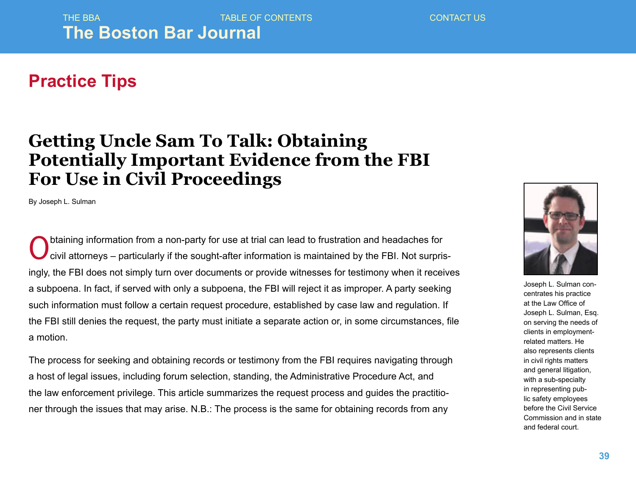## **Practice Tips**

## **Getting Uncle Sam To Talk: Obtaining Potentially Important Evidence from the FBI For Use in Civil Proceedings**

By Joseph L. Sulman

Obtaining information from a non-party for use at trial can lead to frustration and headaches for<br>Coivil attorneys – particularly if the sought-after information is maintained by the FBI. Not surpris civil attorneys – particularly if the sought-after information is maintained by the FBI. Not surprisingly, the FBI does not simply turn over documents or provide witnesses for testimony when it receives a subpoena. In fact, if served with only a subpoena, the FBI will reject it as improper. A party seeking such information must follow a certain request procedure, established by case law and regulation. If the FBI still denies the request, the party must initiate a separate action or, in some circumstances, file a motion.

The process for seeking and obtaining records or testimony from the FBI requires navigating through a host of legal issues, including forum selection, standing, the Administrative Procedure Act, and the law enforcement privilege. This article summarizes the request process and guides the practitioner through the issues that may arise. N.B.: The process is the same for obtaining records from any



Joseph L. Sulman concentrates his practice at the Law Office of Joseph L. Sulman, Esq. on serving the needs of clients in employmentrelated matters. He also represents clients in civil rights matters and general litigation, with a sub-specialty in representing public safety employees before the Civil Service Commission and in state and federal court.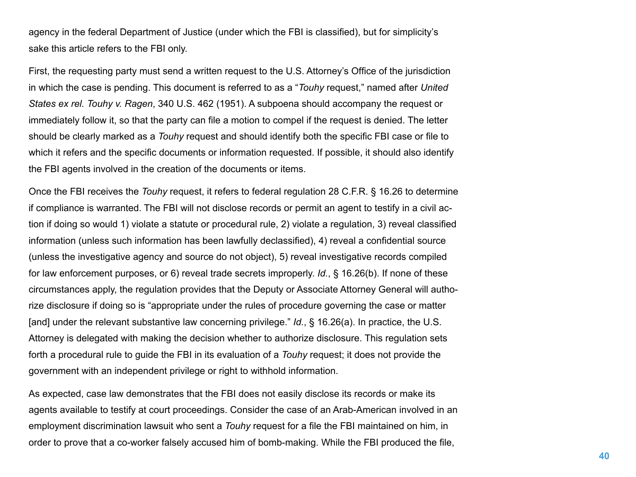agency in the federal Department of Justice (under which the FBI is classified), but for simplicity's sake this article refers to the FBI only.

First, the requesting party must send a written request to the U.S. Attorney's Office of the jurisdiction in which the case is pending. This document is referred to as a "*Touhy* request," named after *United States ex rel. Touhy v. Ragen*, 340 U.S. 462 (1951). A subpoena should accompany the request or immediately follow it, so that the party can file a motion to compel if the request is denied. The letter should be clearly marked as a *Touhy* request and should identify both the specific FBI case or file to which it refers and the specific documents or information requested. If possible, it should also identify the FBI agents involved in the creation of the documents or items.

Once the FBI receives the *Touhy* request, it refers to federal regulation 28 C.F.R. § 16.26 to determine if compliance is warranted. The FBI will not disclose records or permit an agent to testify in a civil action if doing so would 1) violate a statute or procedural rule, 2) violate a regulation, 3) reveal classified information (unless such information has been lawfully declassified), 4) reveal a confidential source (unless the investigative agency and source do not object), 5) reveal investigative records compiled for law enforcement purposes, or 6) reveal trade secrets improperly. *Id.*, § 16.26(b). If none of these circumstances apply, the regulation provides that the Deputy or Associate Attorney General will authorize disclosure if doing so is "appropriate under the rules of procedure governing the case or matter [and] under the relevant substantive law concerning privilege." *Id.*, § 16.26(a). In practice, the U.S. Attorney is delegated with making the decision whether to authorize disclosure. This regulation sets forth a procedural rule to guide the FBI in its evaluation of a *Touhy* request; it does not provide the government with an independent privilege or right to withhold information.

As expected, case law demonstrates that the FBI does not easily disclose its records or make its agents available to testify at court proceedings. Consider the case of an Arab-American involved in an employment discrimination lawsuit who sent a *Touhy* request for a file the FBI maintained on him, in order to prove that a co-worker falsely accused him of bomb-making. While the FBI produced the file,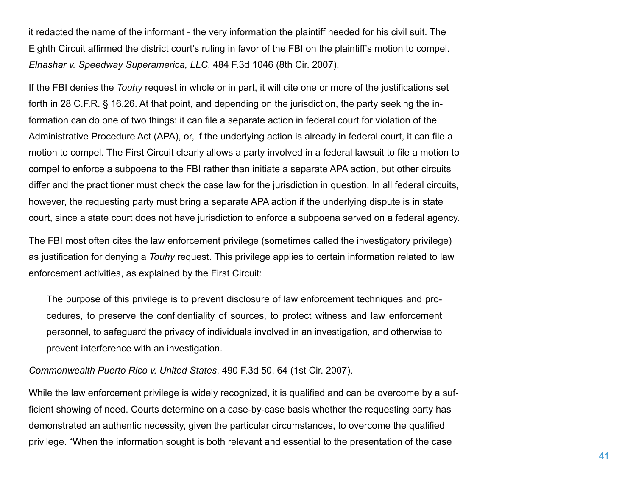it redacted the name of the informant - the very information the plaintiff needed for his civil suit. The Eighth Circuit affirmed the district court's ruling in favor of the FBI on the plaintiff's motion to compel. *Elnashar v. Speedway Superamerica, LLC*, 484 F.3d 1046 (8th Cir. 2007).

If the FBI denies the *Touhy* request in whole or in part, it will cite one or more of the justifications set forth in 28 C.F.R. § 16.26. At that point, and depending on the jurisdiction, the party seeking the information can do one of two things: it can file a separate action in federal court for violation of the Administrative Procedure Act (APA), or, if the underlying action is already in federal court, it can file a motion to compel. The First Circuit clearly allows a party involved in a federal lawsuit to file a motion to compel to enforce a subpoena to the FBI rather than initiate a separate APA action, but other circuits differ and the practitioner must check the case law for the jurisdiction in question. In all federal circuits, however, the requesting party must bring a separate APA action if the underlying dispute is in state court, since a state court does not have jurisdiction to enforce a subpoena served on a federal agency.

The FBI most often cites the law enforcement privilege (sometimes called the investigatory privilege) as justification for denying a *Touhy* request. This privilege applies to certain information related to law enforcement activities, as explained by the First Circuit:

The purpose of this privilege is to prevent disclosure of law enforcement techniques and procedures, to preserve the confidentiality of sources, to protect witness and law enforcement personnel, to safeguard the privacy of individuals involved in an investigation, and otherwise to prevent interference with an investigation.

*Commonwealth Puerto Rico v. United States*, 490 F.3d 50, 64 (1st Cir. 2007).

While the law enforcement privilege is widely recognized, it is qualified and can be overcome by a sufficient showing of need. Courts determine on a case-by-case basis whether the requesting party has demonstrated an authentic necessity, given the particular circumstances, to overcome the qualified privilege. "When the information sought is both relevant and essential to the presentation of the case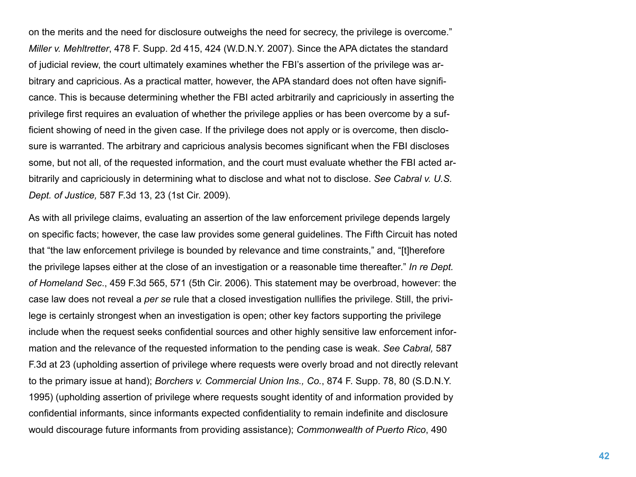on the merits and the need for disclosure outweighs the need for secrecy, the privilege is overcome." *Miller v. Mehltretter*, 478 F. Supp. 2d 415, 424 (W.D.N.Y. 2007). Since the APA dictates the standard of judicial review, the court ultimately examines whether the FBI's assertion of the privilege was arbitrary and capricious. As a practical matter, however, the APA standard does not often have significance. This is because determining whether the FBI acted arbitrarily and capriciously in asserting the privilege first requires an evaluation of whether the privilege applies or has been overcome by a sufficient showing of need in the given case. If the privilege does not apply or is overcome, then disclosure is warranted. The arbitrary and capricious analysis becomes significant when the FBI discloses some, but not all, of the requested information, and the court must evaluate whether the FBI acted arbitrarily and capriciously in determining what to disclose and what not to disclose. *See Cabral v. U.S. Dept. of Justice,* 587 F.3d 13, 23 (1st Cir. 2009).

As with all privilege claims, evaluating an assertion of the law enforcement privilege depends largely on specific facts; however, the case law provides some general guidelines. The Fifth Circuit has noted that "the law enforcement privilege is bounded by relevance and time constraints," and, "[t]herefore the privilege lapses either at the close of an investigation or a reasonable time thereafter." *In re Dept. of Homeland Sec*., 459 F.3d 565, 571 (5th Cir. 2006). This statement may be overbroad, however: the case law does not reveal a *per se* rule that a closed investigation nullifies the privilege. Still, the privilege is certainly strongest when an investigation is open; other key factors supporting the privilege include when the request seeks confidential sources and other highly sensitive law enforcement information and the relevance of the requested information to the pending case is weak. *See Cabral,* 587 F.3d at 23 (upholding assertion of privilege where requests were overly broad and not directly relevant to the primary issue at hand); *Borchers v. Commercial Union Ins., Co.*, 874 F. Supp. 78, 80 (S.D.N.Y. 1995) (upholding assertion of privilege where requests sought identity of and information provided by confidential informants, since informants expected confidentiality to remain indefinite and disclosure would discourage future informants from providing assistance); *Commonwealth of Puerto Rico*, 490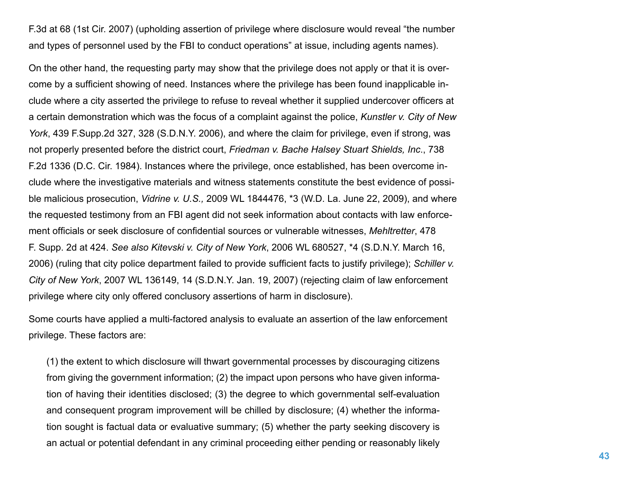F.3d at 68 (1st Cir. 2007) (upholding assertion of privilege where disclosure would reveal "the number and types of personnel used by the FBI to conduct operations" at issue, including agents names).

On the other hand, the requesting party may show that the privilege does not apply or that it is overcome by a sufficient showing of need. Instances where the privilege has been found inapplicable include where a city asserted the privilege to refuse to reveal whether it supplied undercover officers at a certain demonstration which was the focus of a complaint against the police, *Kunstler v. City of New York*, 439 F.Supp.2d 327, 328 (S.D.N.Y. 2006), and where the claim for privilege, even if strong, was not properly presented before the district court, *Friedman v. Bache Halsey Stuart Shields, Inc*., 738 F.2d 1336 (D.C. Cir. 1984). Instances where the privilege, once established, has been overcome include where the investigative materials and witness statements constitute the best evidence of possible malicious prosecution, *Vidrine v. U.S.,* 2009 WL 1844476, \*3 (W.D. La. June 22, 2009), and where the requested testimony from an FBI agent did not seek information about contacts with law enforcement officials or seek disclosure of confidential sources or vulnerable witnesses, *Mehltretter*, 478 F. Supp. 2d at 424. *See also Kitevski v. City of New York*, 2006 WL 680527, \*4 (S.D.N.Y. March 16, 2006) (ruling that city police department failed to provide sufficient facts to justify privilege); *Schiller v. City of New York*, 2007 WL 136149, 14 (S.D.N.Y. Jan. 19, 2007) (rejecting claim of law enforcement privilege where city only offered conclusory assertions of harm in disclosure).

Some courts have applied a multi-factored analysis to evaluate an assertion of the law enforcement privilege. These factors are:

(1) the extent to which disclosure will thwart governmental processes by discouraging citizens from giving the government information; (2) the impact upon persons who have given information of having their identities disclosed; (3) the degree to which governmental self-evaluation and consequent program improvement will be chilled by disclosure; (4) whether the information sought is factual data or evaluative summary; (5) whether the party seeking discovery is an actual or potential defendant in any criminal proceeding either pending or reasonably likely